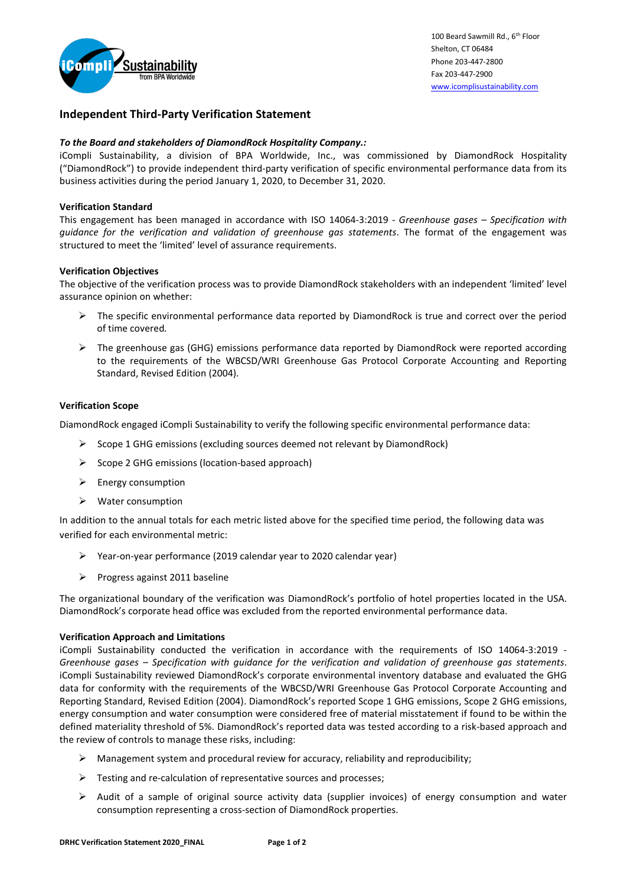

# **Independent Third-Party Verification Statement**

## *To the Board and stakeholders of DiamondRock Hospitality Company.:*

iCompli Sustainability, a division of BPA Worldwide, Inc., was commissioned by DiamondRock Hospitality ("DiamondRock") to provide independent third-party verification of specific environmental performance data from its business activities during the period January 1, 2020, to December 31, 2020.

### **Verification Standard**

This engagement has been managed in accordance with ISO 14064-3:2019 - *Greenhouse gases – Specification with guidance for the verification and validation of greenhouse gas statements*. The format of the engagement was structured to meet the 'limited' level of assurance requirements.

### **Verification Objectives**

The objective of the verification process was to provide DiamondRock stakeholders with an independent 'limited' level assurance opinion on whether:

- $\triangleright$  The specific environmental performance data reported by DiamondRock is true and correct over the period of time covered*.*
- ➢ The greenhouse gas (GHG) emissions performance data reported by DiamondRock were reported according to the requirements of the WBCSD/WRI Greenhouse Gas Protocol Corporate Accounting and Reporting Standard, Revised Edition (2004).

### **Verification Scope**

DiamondRock engaged iCompli Sustainability to verify the following specific environmental performance data:

- ➢ Scope 1 GHG emissions (excluding sources deemed not relevant by DiamondRock)
- ➢ Scope 2 GHG emissions (location-based approach)
- ➢ Energy consumption
- ➢ Water consumption

In addition to the annual totals for each metric listed above for the specified time period, the following data was verified for each environmental metric:

- ➢ Year-on-year performance (2019 calendar year to 2020 calendar year)
- ➢ Progress against 2011 baseline

The organizational boundary of the verification was DiamondRock's portfolio of hotel properties located in the USA. DiamondRock's corporate head office was excluded from the reported environmental performance data.

#### **Verification Approach and Limitations**

iCompli Sustainability conducted the verification in accordance with the requirements of ISO 14064-3:2019 - *Greenhouse gases – Specification with guidance for the verification and validation of greenhouse gas statements*. iCompli Sustainability reviewed DiamondRock's corporate environmental inventory database and evaluated the GHG data for conformity with the requirements of the WBCSD/WRI Greenhouse Gas Protocol Corporate Accounting and Reporting Standard, Revised Edition (2004). DiamondRock's reported Scope 1 GHG emissions, Scope 2 GHG emissions, energy consumption and water consumption were considered free of material misstatement if found to be within the defined materiality threshold of 5%. DiamondRock's reported data was tested according to a risk-based approach and the review of controls to manage these risks, including:

- $\triangleright$  Management system and procedural review for accuracy, reliability and reproducibility;
- ➢ Testing and re-calculation of representative sources and processes;
- ➢ Audit of a sample of original source activity data (supplier invoices) of energy consumption and water consumption representing a cross-section of DiamondRock properties.